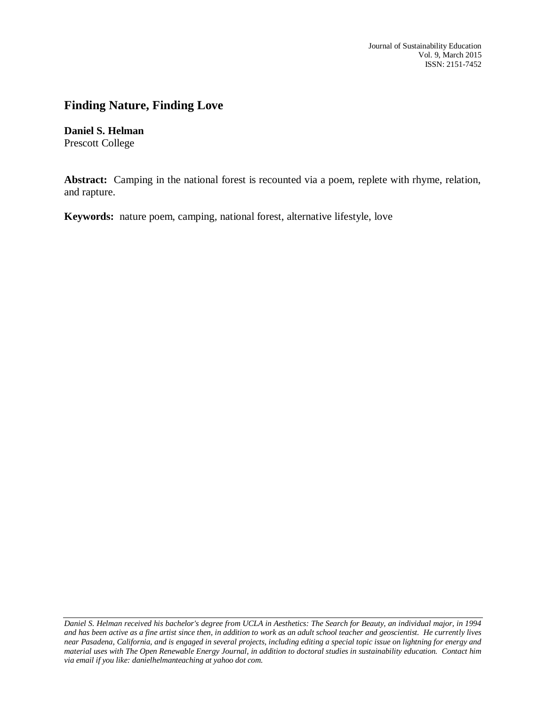Journal of Sustainability Education Vol. 9, March 2015 ISSN: 2151-7452

## **Finding Nature, Finding Love**

**Daniel S. Helman** Prescott College

**Abstract:** Camping in the national forest is recounted via a poem, replete with rhyme, relation, and rapture.

**Keywords:** nature poem, camping, national forest, alternative lifestyle, love

*Daniel S. Helman received his bachelor's degree from UCLA in Aesthetics: The Search for Beauty, an individual major, in 1994 and has been active as a fine artist since then, in addition to work as an adult school teacher and geoscientist. He currently lives near Pasadena, California, and is engaged in several projects, including editing a special topic issue on lightning for energy and material uses with The Open Renewable Energy Journal, in addition to doctoral studies in sustainability education. Contact him via email if you like: danielhelmanteaching at yahoo dot com.*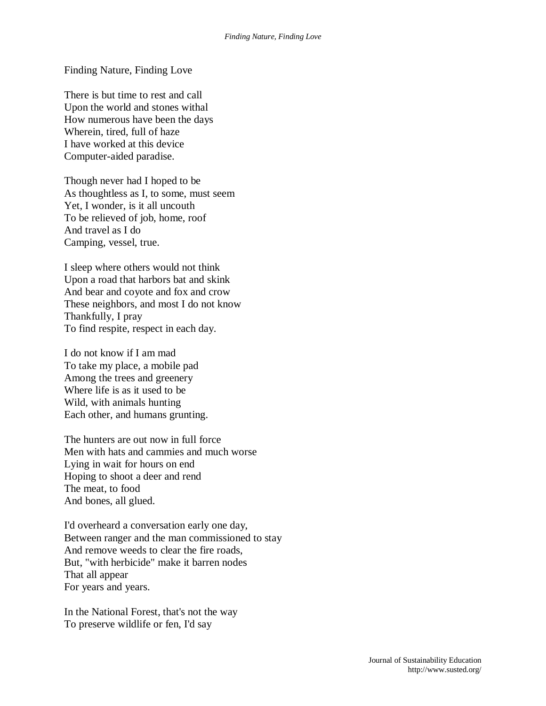Finding Nature, Finding Love

There is but time to rest and call Upon the world and stones withal How numerous have been the days Wherein, tired, full of haze I have worked at this device Computer-aided paradise.

Though never had I hoped to be As thoughtless as I, to some, must seem Yet, I wonder, is it all uncouth To be relieved of job, home, roof And travel as I do Camping, vessel, true.

I sleep where others would not think Upon a road that harbors bat and skink And bear and coyote and fox and crow These neighbors, and most I do not know Thankfully, I pray To find respite, respect in each day.

I do not know if I am mad To take my place, a mobile pad Among the trees and greenery Where life is as it used to be Wild, with animals hunting Each other, and humans grunting.

The hunters are out now in full force Men with hats and cammies and much worse Lying in wait for hours on end Hoping to shoot a deer and rend The meat, to food And bones, all glued.

I'd overheard a conversation early one day, Between ranger and the man commissioned to stay And remove weeds to clear the fire roads, But, "with herbicide" make it barren nodes That all appear For years and years.

In the National Forest, that's not the way To preserve wildlife or fen, I'd say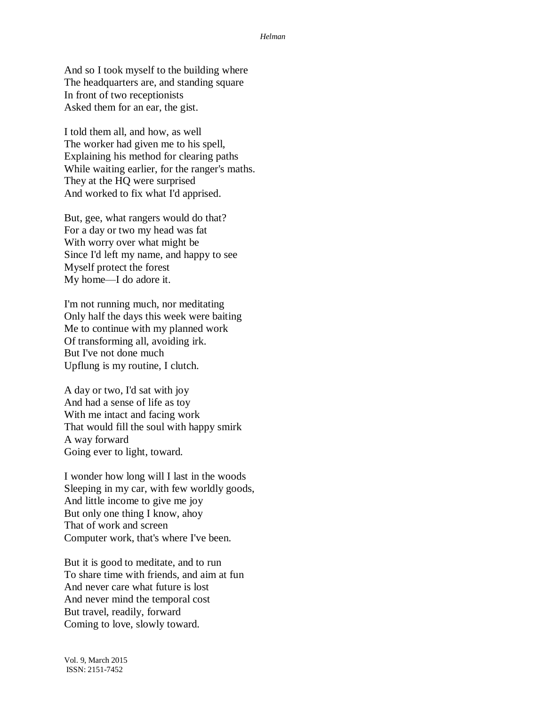## *Helman*

And so I took myself to the building where The headquarters are, and standing square In front of two receptionists Asked them for an ear, the gist.

I told them all, and how, as well The worker had given me to his spell, Explaining his method for clearing paths While waiting earlier, for the ranger's maths. They at the HQ were surprised And worked to fix what I'd apprised.

But, gee, what rangers would do that? For a day or two my head was fat With worry over what might be Since I'd left my name, and happy to see Myself protect the forest My home—I do adore it.

I'm not running much, nor meditating Only half the days this week were baiting Me to continue with my planned work Of transforming all, avoiding irk. But I've not done much Upflung is my routine, I clutch.

A day or two, I'd sat with joy And had a sense of life as toy With me intact and facing work That would fill the soul with happy smirk A way forward Going ever to light, toward.

I wonder how long will I last in the woods Sleeping in my car, with few worldly goods, And little income to give me joy But only one thing I know, ahoy That of work and screen Computer work, that's where I've been.

But it is good to meditate, and to run To share time with friends, and aim at fun And never care what future is lost And never mind the temporal cost But travel, readily, forward Coming to love, slowly toward.